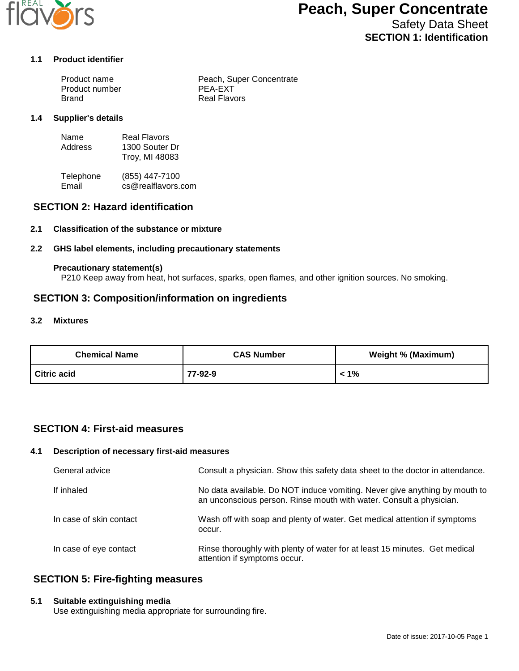

# **Peach, Super Concentrate**

Safety Data Sheet **SECTION 1: Identification**

#### **1.1 Product identifier**

| Product name   | Peach, Super Concentrate |
|----------------|--------------------------|
| Product number | PEA-EXT                  |
| Brand          | <b>Real Flavors</b>      |

#### **1.4 Supplier's details**

| Name    | Real Flavors   |
|---------|----------------|
| Address | 1300 Souter Dr |
|         | Troy, MI 48083 |

Telephone (855) 447-7100<br>Email cs@realflavors. cs@realflavors.com

# **SECTION 2: Hazard identification**

## **2.1 Classification of the substance or mixture**

## **2.2 GHS label elements, including precautionary statements**

#### **Precautionary statement(s)**

P210 Keep away from heat, hot surfaces, sparks, open flames, and other ignition sources. No smoking.

## **SECTION 3: Composition/information on ingredients**

#### **3.2 Mixtures**

| <b>Chemical Name</b> | <b>CAS Number</b> | <b>Weight % (Maximum)</b> |
|----------------------|-------------------|---------------------------|
| Citric acid          | 77-92-9           | 1% >                      |

# **SECTION 4: First-aid measures**

## **4.1 Description of necessary first-aid measures**

| General advice          | Consult a physician. Show this safety data sheet to the doctor in attendance.                                                                     |
|-------------------------|---------------------------------------------------------------------------------------------------------------------------------------------------|
| If inhaled              | No data available. Do NOT induce vomiting. Never give anything by mouth to<br>an unconscious person. Rinse mouth with water. Consult a physician. |
| In case of skin contact | Wash off with soap and plenty of water. Get medical attention if symptoms<br>occur.                                                               |
| In case of eye contact  | Rinse thoroughly with plenty of water for at least 15 minutes. Get medical<br>attention if symptoms occur.                                        |

# **SECTION 5: Fire-fighting measures**

#### **5.1 Suitable extinguishing media**

Use extinguishing media appropriate for surrounding fire.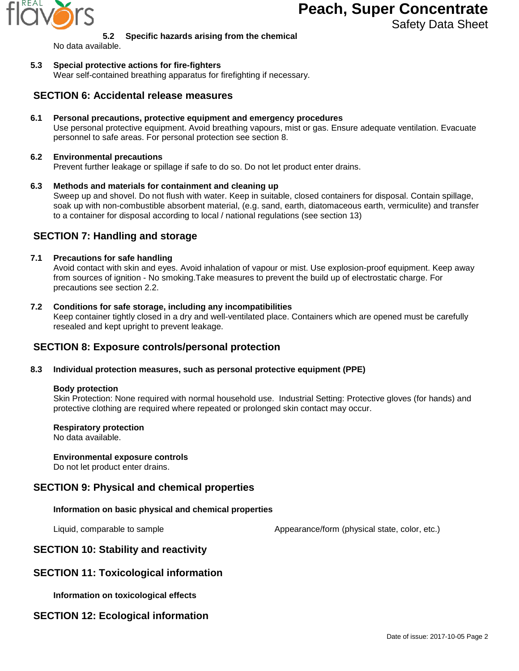

# **Peach, Super Concentrate**

Safety Data Sheet

## **5.2 Specific hazards arising from the chemical**

No data available.

## **5.3 Special protective actions for fire-fighters**

Wear self-contained breathing apparatus for firefighting if necessary.

## **SECTION 6: Accidental release measures**

**6.1 Personal precautions, protective equipment and emergency procedures**

Use personal protective equipment. Avoid breathing vapours, mist or gas. Ensure adequate ventilation. Evacuate personnel to safe areas. For personal protection see section 8.

#### **6.2 Environmental precautions**

Prevent further leakage or spillage if safe to do so. Do not let product enter drains.

## **6.3 Methods and materials for containment and cleaning up**

Sweep up and shovel. Do not flush with water. Keep in suitable, closed containers for disposal. Contain spillage, soak up with non-combustible absorbent material, (e.g. sand, earth, diatomaceous earth, vermiculite) and transfer to a container for disposal according to local / national regulations (see section 13)

# **SECTION 7: Handling and storage**

## **7.1 Precautions for safe handling**

Avoid contact with skin and eyes. Avoid inhalation of vapour or mist. Use explosion-proof equipment. Keep away from sources of ignition - No smoking.Take measures to prevent the build up of electrostatic charge. For precautions see section 2.2.

#### **7.2 Conditions for safe storage, including any incompatibilities**

Keep container tightly closed in a dry and well-ventilated place. Containers which are opened must be carefully resealed and kept upright to prevent leakage.

## **SECTION 8: Exposure controls/personal protection**

## **8.3 Individual protection measures, such as personal protective equipment (PPE)**

#### **Body protection**

Skin Protection: None required with normal household use. Industrial Setting: Protective gloves (for hands) and protective clothing are required where repeated or prolonged skin contact may occur.

## **Respiratory protection**

No data available.

## **Environmental exposure controls**

Do not let product enter drains.

## **SECTION 9: Physical and chemical properties**

## **Information on basic physical and chemical properties**

Liquid, comparable to sample  $\blacksquare$  Appearance/form (physical state, color, etc.)

# **SECTION 10: Stability and reactivity**

## **SECTION 11: Toxicological information**

**Information on toxicological effects**

## **SECTION 12: Ecological information**